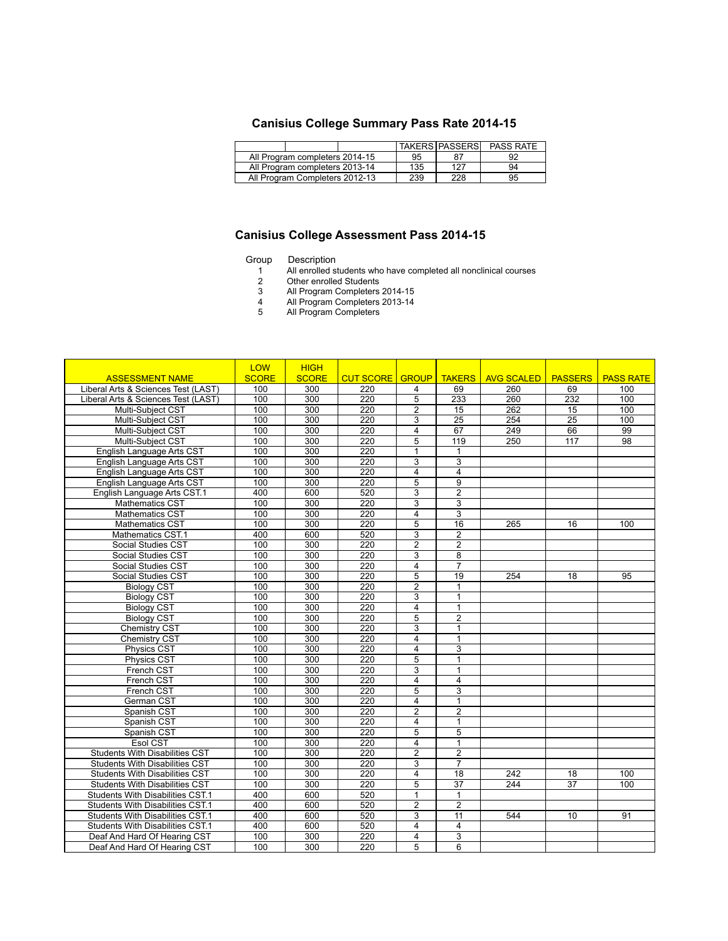## **Canisius College Summary Pass Rate 2014-15**

|                                |  |  |     | <b>TAKERS PASSERS</b> | <b>PASS RATE</b> |  |
|--------------------------------|--|--|-----|-----------------------|------------------|--|
| All Program completers 2014-15 |  |  | 95  |                       |                  |  |
| All Program completers 2013-14 |  |  | 135 | 127                   | 94               |  |
| All Program Completers 2012-13 |  |  | 239 | 228                   | 95               |  |

## **Canisius College Assessment Pass 2014-15**

## Group Description

5

- 1 All enrolled students who have completed all nonclinical courses
- 2 Other enrolled Students
- 3 All Program Completers 2014-15
- 4 All Program Completers 2013-14
- All Program Completers

|                                       | <b>LOW</b>   | <b>HIGH</b>      |                  |                         |                 |                   |                 |                  |
|---------------------------------------|--------------|------------------|------------------|-------------------------|-----------------|-------------------|-----------------|------------------|
| <b>ASSESSMENT NAME</b>                | <b>SCORE</b> | <b>SCORE</b>     | <b>CUT SCORE</b> | <b>GROUP</b>            | <b>TAKERS</b>   | <b>AVG SCALED</b> | <b>PASSERS</b>  | <b>PASS RATE</b> |
| Liberal Arts & Sciences Test (LAST)   | 100          | 300              | 220              | $\overline{4}$          | 69              | 260               | 69              | 100              |
| Liberal Arts & Sciences Test (LAST)   | 100          | 300              | 220              | $\overline{5}$          | 233             | 260               | 232             | 100              |
| Multi-Subject CST                     | 100          | 300              | 220              | $\overline{c}$          | 15              | 262               | 15              | 100              |
| Multi-Subject CST                     | 100          | 300              | 220              | 3                       | $\overline{25}$ | 254               | $\overline{25}$ | 100              |
| Multi-Subject CST                     | 100          | $\overline{300}$ | $\overline{220}$ | 4                       | 67              | 249               | 66              | 99               |
| Multi-Subject CST                     | 100          | 300              | 220              | 5                       | 119             | 250               | 117             | 98               |
| English Language Arts CST             | 100          | 300              | 220              | 1                       | $\mathbf{1}$    |                   |                 |                  |
| English Language Arts CST             | 100          | $\overline{300}$ | 220              | 3                       | $\overline{3}$  |                   |                 |                  |
| English Language Arts CST             | 100          | 300              | 220              | 4                       | 4               |                   |                 |                  |
| English Language Arts CST             | 100          | $\overline{300}$ | $\overline{220}$ | $\overline{5}$          | $\overline{9}$  |                   |                 |                  |
| English Language Arts CST.1           | 400          | 600              | 520              | $\overline{3}$          | $\overline{2}$  |                   |                 |                  |
| <b>Mathematics CST</b>                | 100          | 300              | 220              | 3                       | 3               |                   |                 |                  |
| <b>Mathematics CST</b>                | 100          | 300              | 220              | $\overline{4}$          | $\overline{3}$  |                   |                 |                  |
| Mathematics CST                       | 100          | 300              | 220              | 5                       | 16              | 265               | 16              | 100              |
| Mathematics CST.1                     | 400          | 600              | 520              | $\overline{\mathbf{3}}$ | $\overline{2}$  |                   |                 |                  |
| <b>Social Studies CST</b>             | 100          | 300              | $\overline{220}$ | $\overline{2}$          | $\overline{2}$  |                   |                 |                  |
| Social Studies CST                    | 100          | 300              | 220              | 3                       | 8               |                   |                 |                  |
| <b>Social Studies CST</b>             | 100          | 300              | 220              | 4                       | $\overline{7}$  |                   |                 |                  |
| Social Studies CST                    | 100          | $\overline{300}$ | $\overline{220}$ | 5                       | $\overline{19}$ | 254               | 18              | 95               |
| <b>Biology CST</b>                    | 100          | $\overline{300}$ | $\frac{220}{ }$  | $\overline{2}$          | $\overline{1}$  |                   |                 |                  |
| <b>Biology CST</b>                    | 100          | 300              | 220              | $\overline{3}$          | $\overline{1}$  |                   |                 |                  |
| <b>Biology CST</b>                    | 100          | $\overline{300}$ | $\overline{220}$ | 4                       | $\overline{1}$  |                   |                 |                  |
| <b>Biology CST</b>                    | 100          | 300              | 220              | 5                       | $\overline{2}$  |                   |                 |                  |
| <b>Chemistry CST</b>                  | 100          | 300              | $\frac{220}{ }$  | $\overline{3}$          | $\mathbf{1}$    |                   |                 |                  |
| <b>Chemistry CST</b>                  | 100          | 300              | 220              | 4                       | $\mathbf{1}$    |                   |                 |                  |
| <b>Physics CST</b>                    | 100          | 300              | 220              | $\overline{4}$          | $\overline{3}$  |                   |                 |                  |
| <b>Physics CST</b>                    | 100          | 300              | 220              | $\overline{5}$          | $\overline{1}$  |                   |                 |                  |
| French CST                            | 100          | 300              | 220              | 3                       | $\mathbf{1}$    |                   |                 |                  |
| French CST                            | 100          | 300              | 220              | $\overline{4}$          | $\overline{4}$  |                   |                 |                  |
| French CST                            | 100          | 300              | 220              | $\overline{5}$          | $\overline{3}$  |                   |                 |                  |
| German CST                            | 100          | 300              | 220              | $\overline{4}$          | $\mathbf{1}$    |                   |                 |                  |
| Spanish CST                           | 100          | 300              | $\overline{220}$ | $\overline{2}$          | $\overline{2}$  |                   |                 |                  |
| Spanish CST                           | 100          | 300              | 220              | 4                       | $\mathbf{1}$    |                   |                 |                  |
| Spanish CST                           | 100          | $\overline{300}$ | 220              | $\overline{5}$          | $\overline{5}$  |                   |                 |                  |
| Esol CST                              | 100          | 300              | 220              | 4                       | $\mathbf{1}$    |                   |                 |                  |
| <b>Students With Disabilities CST</b> | 100          | $\overline{300}$ | $\overline{220}$ | $\overline{2}$          | $\overline{2}$  |                   |                 |                  |
| <b>Students With Disabilities CST</b> | 100          | 300              | 220              | 3                       | $\overline{7}$  |                   |                 |                  |
| <b>Students With Disabilities CST</b> | 100          | 300              | 220              | $\overline{4}$          | $\overline{18}$ | 242               | $\overline{18}$ | 100              |
| <b>Students With Disabilities CST</b> | 100          | 300              | 220              | 5                       | $\overline{37}$ | 244               | $\overline{37}$ | 100              |
| Students With Disabilities CST.1      | 400          | 600              | 520              | 1                       | $\mathbf{1}$    |                   |                 |                  |
| Students With Disabilities CST.1      | 400          | 600              | 520              | $\overline{2}$          | $\overline{2}$  |                   |                 |                  |
| Students With Disabilities CST.1      | 400          | 600              | 520              | 3                       | 11              | 544               | 10              | 91               |
| Students With Disabilities CST.1      | 400          | 600              | 520              | 4                       | $\overline{4}$  |                   |                 |                  |
| Deaf And Hard Of Hearing CST          | 100          | 300              | 220              | 4                       | $\overline{3}$  |                   |                 |                  |
| Deaf And Hard Of Hearing CST          | 100          | 300              | 220              | 5                       | 6               |                   |                 |                  |